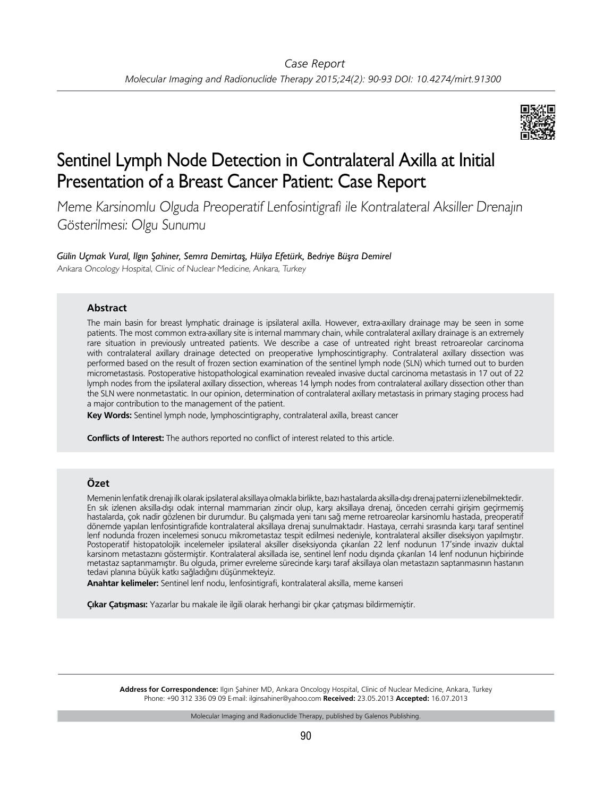

# Sentinel Lymph Node Detection in Contralateral Axilla at Initial Presentation of a Breast Cancer Patient: Case Report

Meme Karsinomlu Olguda Preoperatif Lenfosintigrafi ile Kontralateral Aksiller Drenajın Gösterilmesi: Olgu Sunumu

## *Gülin Uçmak Vural, Ilgın Şahiner, Semra Demirtaş, Hülya Efetürk, Bedriye Büşra Demirel*

Ankara Oncology Hospital, Clinic of Nuclear Medicine, Ankara, Turkey

## **Abstract**

The main basin for breast lymphatic drainage is ipsilateral axilla. However, extra-axillary drainage may be seen in some patients. The most common extra-axillary site is internal mammary chain, while contralateral axillary drainage is an extremely rare situation in previously untreated patients. We describe a case of untreated right breast retroareolar carcinoma with contralateral axillary drainage detected on preoperative lymphoscintigraphy. Contralateral axillary dissection was performed based on the result of frozen section examination of the sentinel lymph node (SLN) which turned out to burden micrometastasis. Postoperative histopathological examination revealed invasive ductal carcinoma metastasis in 17 out of 22 lymph nodes from the ipsilateral axillary dissection, whereas 14 lymph nodes from contralateral axillary dissection other than the SLN were nonmetastatic. In our opinion, determination of contralateral axillary metastasis in primary staging process had a major contribution to the management of the patient.

**Key Words:** Sentinel lymph node, lymphoscintigraphy, contralateral axilla, breast cancer

**Conflicts of Interest:** The authors reported no conflict of interest related to this article.

## **Özet**

Memenin lenfatik drenajı ilk olarak ipsilateral aksillaya olmakla birlikte, bazı hastalarda aksilla-dışı drenaj paterni izlenebilmektedir. En sık izlenen aksilla-dışı odak internal mammarian zincir olup, karşı aksillaya drenaj, önceden cerrahi girişim geçirmemiş hastalarda, çok nadir gözlenen bir durumdur. Bu çalışmada yeni tanı sağ meme retroareolar karsinomlu hastada, preoperatif dönemde yapılan lenfosintigrafide kontralateral aksillaya drenaj sunulmaktadır. Hastaya, cerrahi sırasında karşı taraf sentinel lenf nodunda frozen incelemesi sonucu mikrometastaz tespit edilmesi nedeniyle, kontralateral aksiller diseksiyon yapılmıştır. Postoperatif histopatolojik incelemeler ipsilateral aksiller diseksiyonda çıkarılan 22 lenf nodunun 17'sinde invaziv duktal karsinom metastazını göstermiştir. Kontralateral aksillada ise, sentinel lenf nodu dışında çıkarılan 14 lenf nodunun hiçbirinde metastaz saptanmamıştır. Bu olguda, primer evreleme sürecinde karşı taraf aksillaya olan metastazın saptanmasının hastanın tedavi planına büyük katkı sağladığını düşünmekteyiz.

**Anahtar kelimeler:** Sentinel lenf nodu, lenfosintigrafi, kontralateral aksilla, meme kanseri

**Çıkar Çatışması:** Yazarlar bu makale ile ilgili olarak herhangi bir çıkar çatışması bildirmemiştir.

**Address for Correspondence:** Ilgın Şahiner MD, Ankara Oncology Hospital, Clinic of Nuclear Medicine, Ankara, Turkey Phone: +90 312 336 09 09 E-mail: ilginsahiner@yahoo.com **Received:** 23.05.2013 **Accepted:** 16.07.2013

Molecular Imaging and Radionuclide Therapy, published by Galenos Publishing.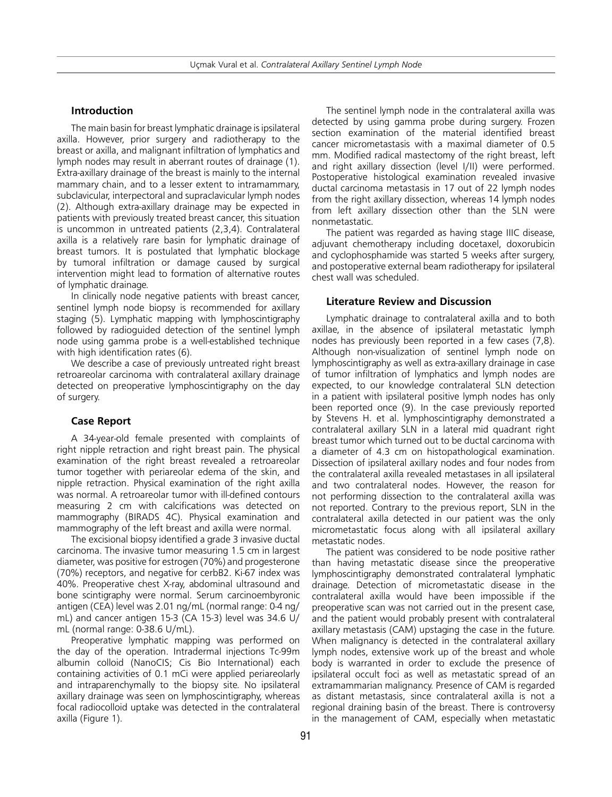#### **Introduction**

The main basin for breast lymphatic drainage is ipsilateral axilla. However, prior surgery and radiotherapy to the breast or axilla, and malignant infiltration of lymphatics and lymph nodes may result in aberrant routes of drainage (1). Extra-axillary drainage of the breast is mainly to the internal mammary chain, and to a lesser extent to intramammary, subclavicular, interpectoral and supraclavicular lymph nodes (2). Although extra-axillary drainage may be expected in patients with previously treated breast cancer, this situation is uncommon in untreated patients (2,3,4). Contralateral axilla is a relatively rare basin for lymphatic drainage of breast tumors. It is postulated that lymphatic blockage by tumoral infiltration or damage caused by surgical intervention might lead to formation of alternative routes of lymphatic drainage.

In clinically node negative patients with breast cancer, sentinel lymph node biopsy is recommended for axillary staging (5). Lymphatic mapping with lymphoscintigraphy followed by radioguided detection of the sentinel lymph node using gamma probe is a well-established technique with high identification rates (6).

We describe a case of previously untreated right breast retroareolar carcinoma with contralateral axillary drainage detected on preoperative lymphoscintigraphy on the day of surgery.

### **Case Report**

A 34-year-old female presented with complaints of right nipple retraction and right breast pain. The physical examination of the right breast revealed a retroareolar tumor together with periareolar edema of the skin, and nipple retraction. Physical examination of the right axilla was normal. A retroareolar tumor with ill-defined contours measuring 2 cm with calcifications was detected on mammography (BIRADS 4C). Physical examination and mammography of the left breast and axilla were normal.

The excisional biopsy identified a grade 3 invasive ductal carcinoma. The invasive tumor measuring 1.5 cm in largest diameter, was positive for estrogen (70%) and progesterone (70%) receptors, and negative for cerbB2. Ki-67 index was 40%. Preoperative chest X-ray, abdominal ultrasound and bone scintigraphy were normal. Serum carcinoembyronic antigen (CEA) level was 2.01 ng/mL (normal range: 0-4 ng/ mL) and cancer antigen 15-3 (CA 15-3) level was 34.6 U/ mL (normal range: 0-38.6 U/mL).

Preoperative lymphatic mapping was performed on the day of the operation. Intradermal injections Tc-99m albumin colloid (NanoCIS; Cis Bio International) each containing activities of 0.1 mCi were applied periareolarly and intraparenchymally to the biopsy site. No ipsilateral axillary drainage was seen on lymphoscintigraphy, whereas focal radiocolloid uptake was detected in the contralateral axilla (Figure 1).

The sentinel lymph node in the contralateral axilla was detected by using gamma probe during surgery. Frozen section examination of the material identified breast cancer micrometastasis with a maximal diameter of 0.5 mm. Modified radical mastectomy of the right breast, left and right axillary dissection (level I/II) were performed. Postoperative histological examination revealed invasive ductal carcinoma metastasis in 17 out of 22 lymph nodes from the right axillary dissection, whereas 14 lymph nodes from left axillary dissection other than the SLN were nonmetastatic.

The patient was regarded as having stage IIIC disease, adjuvant chemotherapy including docetaxel, doxorubicin and cyclophosphamide was started 5 weeks after surgery, and postoperative external beam radiotherapy for ipsilateral chest wall was scheduled.

## **Literature Review and Discussion**

Lymphatic drainage to contralateral axilla and to both axillae, in the absence of ipsilateral metastatic lymph nodes has previously been reported in a few cases (7,8). Although non-visualization of sentinel lymph node on lymphoscintigraphy as well as extra-axillary drainage in case of tumor infiltration of lymphatics and lymph nodes are expected, to our knowledge contralateral SLN detection in a patient with ipsilateral positive lymph nodes has only been reported once (9). In the case previously reported by Stevens H. et al. lymphoscintigraphy demonstrated a contralateral axillary SLN in a lateral mid quadrant right breast tumor which turned out to be ductal carcinoma with a diameter of 4.3 cm on histopathological examination. Dissection of ipsilateral axillary nodes and four nodes from the contralateral axilla revealed metastases in all ipsilateral and two contralateral nodes. However, the reason for not performing dissection to the contralateral axilla was not reported. Contrary to the previous report, SLN in the contralateral axilla detected in our patient was the only micrometastatic focus along with all ipsilateral axillary metastatic nodes.

The patient was considered to be node positive rather than having metastatic disease since the preoperative lymphoscintigraphy demonstrated contralateral lymphatic drainage. Detection of micrometastatic disease in the contralateral axilla would have been impossible if the preoperative scan was not carried out in the present case, and the patient would probably present with contralateral axillary metastasis (CAM) upstaging the case in the future. When malignancy is detected in the contralateral axillary lymph nodes, extensive work up of the breast and whole body is warranted in order to exclude the presence of ipsilateral occult foci as well as metastatic spread of an extramammarian malignancy. Presence of CAM is regarded as distant metastasis, since contralateral axilla is not a regional draining basin of the breast. There is controversy in the management of CAM, especially when metastatic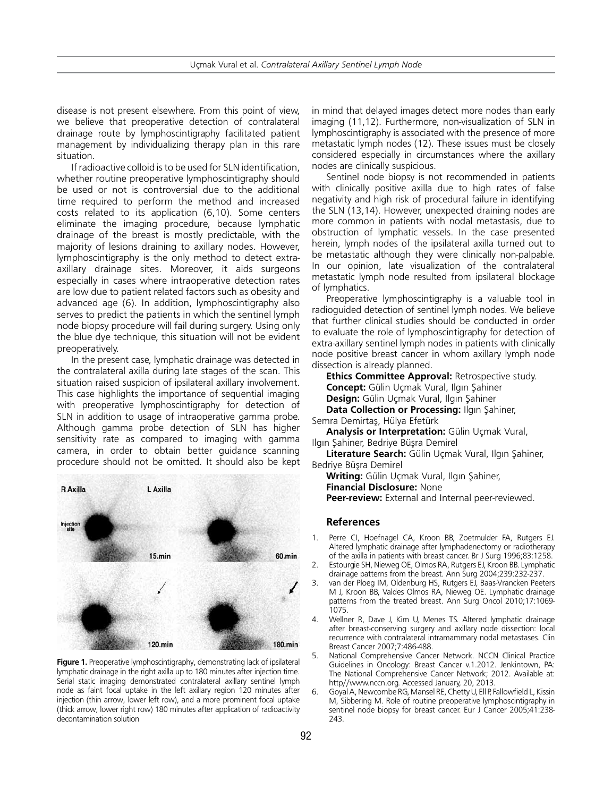disease is not present elsewhere. From this point of view, we believe that preoperative detection of contralateral drainage route by lymphoscintigraphy facilitated patient management by individualizing therapy plan in this rare situation.

If radioactive colloid is to be used for SLN identification, whether routine preoperative lymphoscintigraphy should be used or not is controversial due to the additional time required to perform the method and increased costs related to its application (6,10). Some centers eliminate the imaging procedure, because lymphatic drainage of the breast is mostly predictable, with the majority of lesions draining to axillary nodes. However, lymphoscintigraphy is the only method to detect extraaxillary drainage sites. Moreover, it aids surgeons especially in cases where intraoperative detection rates are low due to patient related factors such as obesity and advanced age (6). In addition, lymphoscintigraphy also serves to predict the patients in which the sentinel lymph node biopsy procedure will fail during surgery. Using only the blue dye technique, this situation will not be evident preoperatively.

In the present case, lymphatic drainage was detected in the contralateral axilla during late stages of the scan. This situation raised suspicion of ipsilateral axillary involvement. This case highlights the importance of sequential imaging with preoperative lymphoscintigraphy for detection of SLN in addition to usage of intraoperative gamma probe. Although gamma probe detection of SLN has higher sensitivity rate as compared to imaging with gamma camera, in order to obtain better guidance scanning procedure should not be omitted. It should also be kept



**Figure 1.** Preoperative lymphoscintigraphy, demonstrating lack of ipsilateral lymphatic drainage in the right axilla up to 180 minutes after injection time. Serial static imaging demonstrated contralateral axillary sentinel lymph node as faint focal uptake in the left axillary region 120 minutes after injection (thin arrow, lower left row), and a more prominent focal uptake (thick arrow, lower right row) 180 minutes after application of radioactivity decontamination solution

in mind that delayed images detect more nodes than early imaging (11,12). Furthermore, non-visualization of SLN in lymphoscintigraphy is associated with the presence of more metastatic lymph nodes (12). These issues must be closely considered especially in circumstances where the axillary nodes are clinically suspicious.

Sentinel node biopsy is not recommended in patients with clinically positive axilla due to high rates of false negativity and high risk of procedural failure in identifying the SLN (13,14). However, unexpected draining nodes are more common in patients with nodal metastasis, due to obstruction of lymphatic vessels. In the case presented herein, lymph nodes of the ipsilateral axilla turned out to be metastatic although they were clinically non-palpable. In our opinion, late visualization of the contralateral metastatic lymph node resulted from ipsilateral blockage of lymphatics.

Preoperative lymphoscintigraphy is a valuable tool in radioguided detection of sentinel lymph nodes. We believe that further clinical studies should be conducted in order to evaluate the role of lymphoscintigraphy for detection of extra-axillary sentinel lymph nodes in patients with clinically node positive breast cancer in whom axillary lymph node dissection is already planned.

**Ethics Committee Approval:** Retrospective study. **Concept:** Gülin Uçmak Vural, Ilgın Şahiner **Design:** Gülin Uçmak Vural, Ilgın Şahiner

**Data Collection or Processing:** Ilgın Şahiner, Semra Demirtaş, Hülya Efetürk

**Analysis or Interpretation:** Gülin Uçmak Vural, Ilgın Şahiner, Bedriye Büşra Demirel

**Literature Search:** Gülin Uçmak Vural, Ilgın Şahiner, Bedriye Büşra Demirel

**Writing:** Gülin Uçmak Vural, Ilgın Şahiner, **Financial Disclosure:** None **Peer-review:** External and Internal peer-reviewed.

#### **References**

- 1. Perre CI, Hoefnagel CA, Kroon BB, Zoetmulder FA, Rutgers EJ. Altered lymphatic drainage after lymphadenectomy or radiotherapy of the axilla in patients with breast cancer. Br J Surg 1996;83:1258.
- 2. Estourgie SH, Nieweg OE, Olmos RA, Rutgers EJ, Kroon BB. Lymphatic drainage patterns from the breast. Ann Surg 2004;239:232-237.
- 3. van der Ploeg IM, Oldenburg HS, Rutgers EJ, Baas-Vrancken Peeters M J, Kroon BB, Valdes Olmos RA, Nieweg OE. Lymphatic drainage patterns from the treated breast. Ann Surg Oncol 2010;17:1069- 1075.
- 4. Wellner R, Dave J, Kim U, Menes TS. Altered lymphatic drainage after breast-conserving surgery and axillary node dissection: local recurrence with contralateral intramammary nodal metastases. Clin Breast Cancer 2007;7:486-488.
- 5. National Comprehensive Cancer Network. NCCN Clinical Practice Guidelines in Oncology: Breast Cancer v.1.2012. Jenkintown, PA: The National Comprehensive Cancer Network; 2012. Available at: http//www.nccn.org. Accessed January, 20, 2013.
- 6. Goyal A, Newcombe RG, Mansel RE, Chetty U, Ell P, Fallowfield L, Kissin M, Sibbering M. Role of routine preoperative lymphoscintigraphy in sentinel node biopsy for breast cancer. Eur J Cancer 2005;41:238- 243.